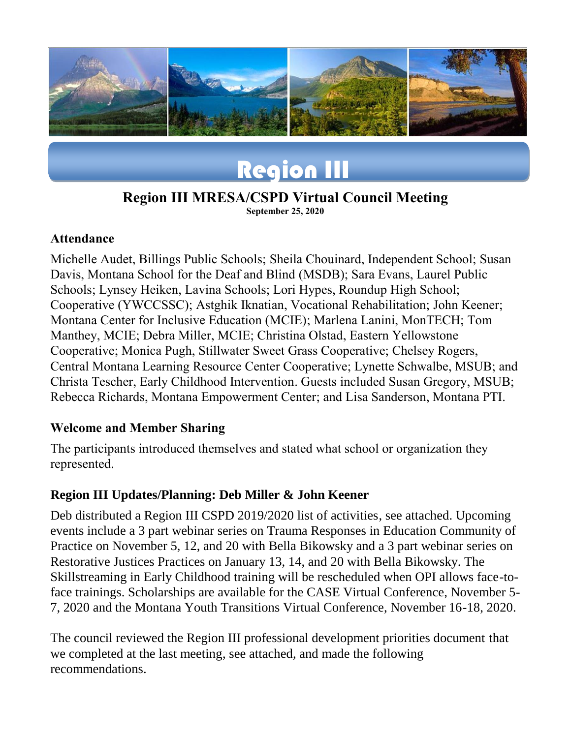

# Region III

# **Region III MRESA/CSPD Virtual Council Meeting**

**September 25, 2020**

#### **Attendance**

Michelle Audet, Billings Public Schools; Sheila Chouinard, Independent School; Susan Davis, Montana School for the Deaf and Blind (MSDB); Sara Evans, Laurel Public Schools; Lynsey Heiken, Lavina Schools; Lori Hypes, Roundup High School; Cooperative (YWCCSSC); Astghik Iknatian, Vocational Rehabilitation; John Keener; Montana Center for Inclusive Education (MCIE); Marlena Lanini, MonTECH; Tom Manthey, MCIE; Debra Miller, MCIE; Christina Olstad, Eastern Yellowstone Cooperative; Monica Pugh, Stillwater Sweet Grass Cooperative; Chelsey Rogers, Central Montana Learning Resource Center Cooperative; Lynette Schwalbe, MSUB; and Christa Tescher, Early Childhood Intervention. Guests included Susan Gregory, MSUB; Rebecca Richards, Montana Empowerment Center; and Lisa Sanderson, Montana PTI.

#### **Welcome and Member Sharing**

The participants introduced themselves and stated what school or organization they represented.

# **Region III Updates/Planning: Deb Miller & John Keener**

Deb distributed a Region III CSPD 2019/2020 list of activities, see attached. Upcoming events include a 3 part webinar series on Trauma Responses in Education Community of Practice on November 5, 12, and 20 with Bella Bikowsky and a 3 part webinar series on Restorative Justices Practices on January 13, 14, and 20 with Bella Bikowsky. The Skillstreaming in Early Childhood training will be rescheduled when OPI allows face-toface trainings. Scholarships are available for the CASE Virtual Conference, November 5- 7, 2020 and the Montana Youth Transitions Virtual Conference, November 16-18, 2020.

The council reviewed the Region III professional development priorities document that we completed at the last meeting, see attached, and made the following recommendations.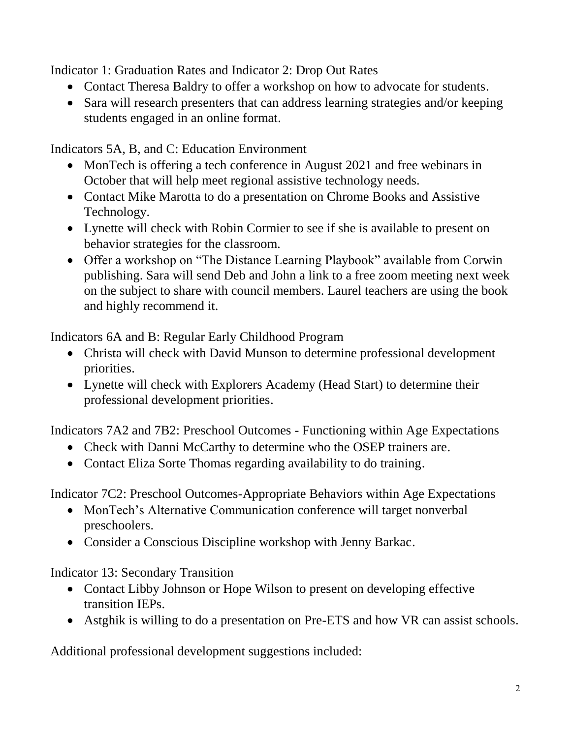Indicator 1: Graduation Rates and Indicator 2: Drop Out Rates

- Contact Theresa Baldry to offer a workshop on how to advocate for students.
- Sara will research presenters that can address learning strategies and/or keeping students engaged in an online format.

Indicators 5A, B, and C: Education Environment

- MonTech is offering a tech conference in August 2021 and free webinars in October that will help meet regional assistive technology needs.
- Contact Mike Marotta to do a presentation on Chrome Books and Assistive Technology.
- Lynette will check with Robin Cormier to see if she is available to present on behavior strategies for the classroom.
- Offer a workshop on "The Distance Learning Playbook" available from Corwin publishing. Sara will send Deb and John a link to a free zoom meeting next week on the subject to share with council members. Laurel teachers are using the book and highly recommend it.

Indicators 6A and B: Regular Early Childhood Program

- Christa will check with David Munson to determine professional development priorities.
- Lynette will check with Explorers Academy (Head Start) to determine their professional development priorities.

Indicators 7A2 and 7B2: Preschool Outcomes - Functioning within Age Expectations

- Check with Danni McCarthy to determine who the OSEP trainers are.
- Contact Eliza Sorte Thomas regarding availability to do training.

Indicator 7C2: Preschool Outcomes-Appropriate Behaviors within Age Expectations

- MonTech's Alternative Communication conference will target nonverbal preschoolers.
- Consider a Conscious Discipline workshop with Jenny Barkac.

Indicator 13: Secondary Transition

- Contact Libby Johnson or Hope Wilson to present on developing effective transition IEPs.
- Astghik is willing to do a presentation on Pre-ETS and how VR can assist schools.

Additional professional development suggestions included: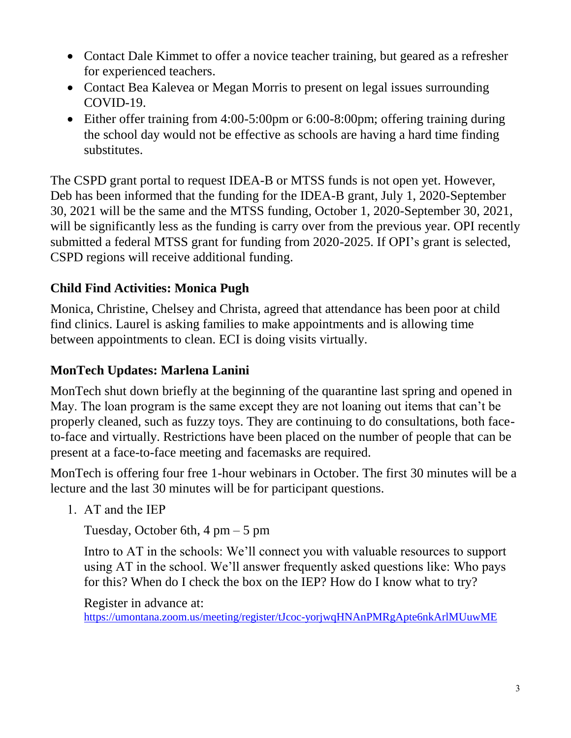- Contact Dale Kimmet to offer a novice teacher training, but geared as a refresher for experienced teachers.
- Contact Bea Kalevea or Megan Morris to present on legal issues surrounding COVID-19.
- Either offer training from 4:00-5:00pm or 6:00-8:00pm; offering training during the school day would not be effective as schools are having a hard time finding substitutes.

The CSPD grant portal to request IDEA-B or MTSS funds is not open yet. However, Deb has been informed that the funding for the IDEA-B grant, July 1, 2020-September 30, 2021 will be the same and the MTSS funding, October 1, 2020-September 30, 2021, will be significantly less as the funding is carry over from the previous year. OPI recently submitted a federal MTSS grant for funding from 2020-2025. If OPI's grant is selected, CSPD regions will receive additional funding.

# **Child Find Activities: Monica Pugh**

Monica, Christine, Chelsey and Christa, agreed that attendance has been poor at child find clinics. Laurel is asking families to make appointments and is allowing time between appointments to clean. ECI is doing visits virtually.

# **MonTech Updates: Marlena Lanini**

MonTech shut down briefly at the beginning of the quarantine last spring and opened in May. The loan program is the same except they are not loaning out items that can't be properly cleaned, such as fuzzy toys. They are continuing to do consultations, both faceto-face and virtually. Restrictions have been placed on the number of people that can be present at a face-to-face meeting and facemasks are required.

MonTech is offering four free 1-hour webinars in October. The first 30 minutes will be a lecture and the last 30 minutes will be for participant questions.

1. AT and the IEP

Tuesday, October 6th,  $4 \text{ pm} - 5 \text{ pm}$ 

Intro to AT in the schools: We'll connect you with valuable resources to support using AT in the school. We'll answer frequently asked questions like: Who pays for this? When do I check the box on the IEP? How do I know what to try?

Register in advance at:

<https://umontana.zoom.us/meeting/register/tJcoc-yorjwqHNAnPMRgApte6nkArlMUuwME>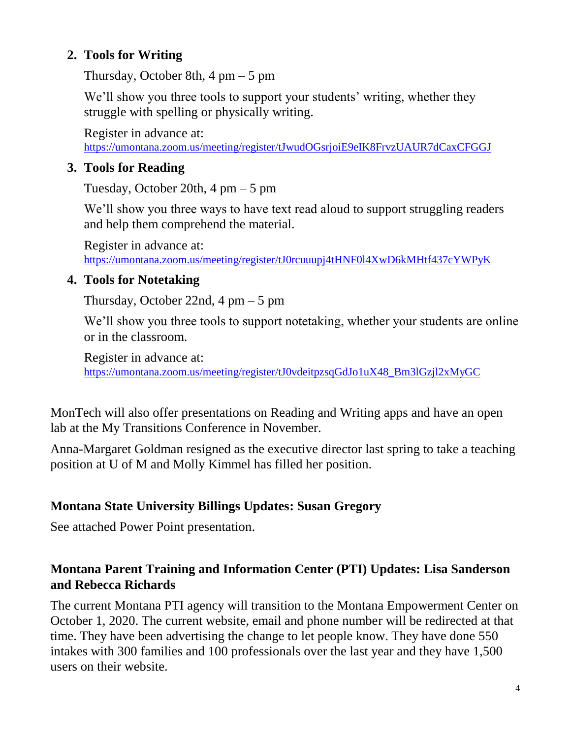### **2. Tools for Writing**

Thursday, October 8th,  $4 \text{ pm} - 5 \text{ pm}$ 

We'll show you three tools to support your students' writing, whether they struggle with spelling or physically writing.

Register in advance at: <https://umontana.zoom.us/meeting/register/tJwudOGsrjoiE9eIK8FrvzUAUR7dCaxCFGGJ>

### **3. Tools for Reading**

Tuesday, October 20th,  $4 \text{ pm} - 5 \text{ pm}$ 

We'll show you three ways to have text read aloud to support struggling readers and help them comprehend the material.

Register in advance at: <https://umontana.zoom.us/meeting/register/tJ0rcuuupj4tHNF0l4XwD6kMHtf437cYWPyK>

#### **4. Tools for Notetaking**

Thursday, October 22nd,  $4 \text{ pm} - 5 \text{ pm}$ 

We'll show you three tools to support notetaking, whether your students are online or in the classroom.

Register in advance at: [https://umontana.zoom.us/meeting/register/tJ0vdeitpzsqGdJo1uX48\\_Bm3lGzjl2xMyGC](https://umontana.zoom.us/meeting/register/tJ0vdeitpzsqGdJo1uX48_Bm3lGzjl2xMyGC)

MonTech will also offer presentations on Reading and Writing apps and have an open lab at the My Transitions Conference in November.

Anna-Margaret Goldman resigned as the executive director last spring to take a teaching position at U of M and Molly Kimmel has filled her position.

# **Montana State University Billings Updates: Susan Gregory**

See attached Power Point presentation.

#### **Montana Parent Training and Information Center (PTI) Updates: Lisa Sanderson and Rebecca Richards**

The current Montana PTI agency will transition to the Montana Empowerment Center on October 1, 2020. The current website, email and phone number will be redirected at that time. They have been advertising the change to let people know. They have done 550 intakes with 300 families and 100 professionals over the last year and they have 1,500 users on their website.